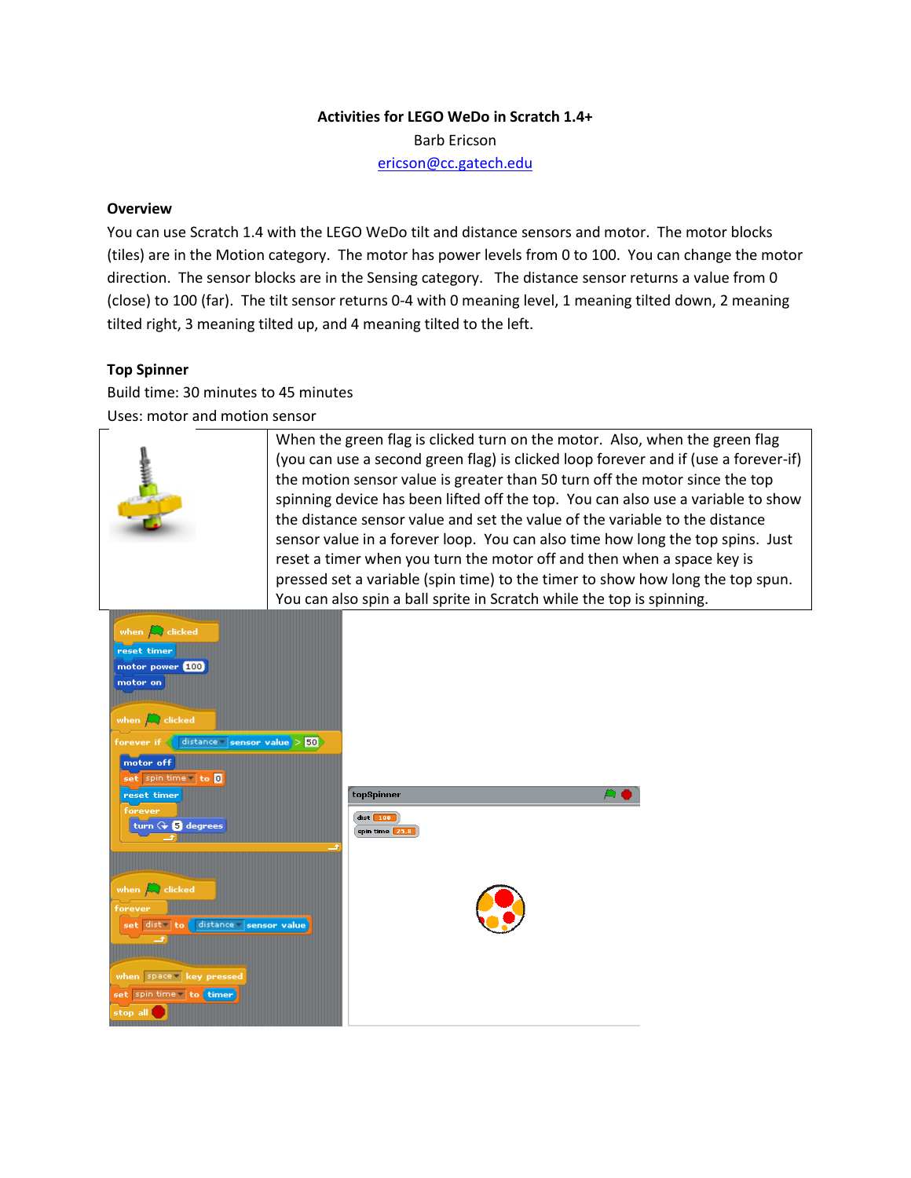# **Activities for LEGO WeDo in Scratch 1.4+**

Barb Ericson

[ericson@cc.gatech.edu](mailto:ericson@cc.gatech.edu)

# **Overview**

You can use Scratch 1.4 with the LEGO WeDo tilt and distance sensors and motor. The motor blocks (tiles) are in the Motion category. The motor has power levels from 0 to 100. You can change the motor direction. The sensor blocks are in the Sensing category. The distance sensor returns a value from 0 (close) to 100 (far). The tilt sensor returns 0-4 with 0 meaning level, 1 meaning tilted down, 2 meaning tilted right, 3 meaning tilted up, and 4 meaning tilted to the left.

### **Top Spinner**

Build time: 30 minutes to 45 minutes

Uses: motor and motion sensor

|                                                                                                                                                                                                                                                                                                                                                                                                                                                                    | When the green flag is clicked turn on the motor. Also, when the green flag<br>(you can use a second green flag) is clicked loop forever and if (use a forever-if)<br>the motion sensor value is greater than 50 turn off the motor since the top<br>spinning device has been lifted off the top. You can also use a variable to show<br>the distance sensor value and set the value of the variable to the distance<br>sensor value in a forever loop. You can also time how long the top spins. Just<br>reset a timer when you turn the motor off and then when a space key is<br>pressed set a variable (spin time) to the timer to show how long the top spun.<br>You can also spin a ball sprite in Scratch while the top is spinning. |
|--------------------------------------------------------------------------------------------------------------------------------------------------------------------------------------------------------------------------------------------------------------------------------------------------------------------------------------------------------------------------------------------------------------------------------------------------------------------|---------------------------------------------------------------------------------------------------------------------------------------------------------------------------------------------------------------------------------------------------------------------------------------------------------------------------------------------------------------------------------------------------------------------------------------------------------------------------------------------------------------------------------------------------------------------------------------------------------------------------------------------------------------------------------------------------------------------------------------------|
| when $\left  \rule{0.3cm}{.0cm} \right $ clicked<br>reset timer<br>motor power [100]<br>motor on<br>when $\Box$ clicked<br>distance $\mathbf{v}$ sensor value $>$ 50<br>forever if $\langle$<br>motor off<br>set spin time v to 0<br>reset timer<br>forever<br>turn $G \oplus S$ degrees<br>when $\left  \rule{0.3cm}{.0cm} \right $ clicked<br>forever<br>set dist to distance sensor value<br>when space V key pressed<br>set spin time v to timer<br>stop all ( | topSpinner<br>$dist$ 100<br>spin time 25.8                                                                                                                                                                                                                                                                                                                                                                                                                                                                                                                                                                                                                                                                                                  |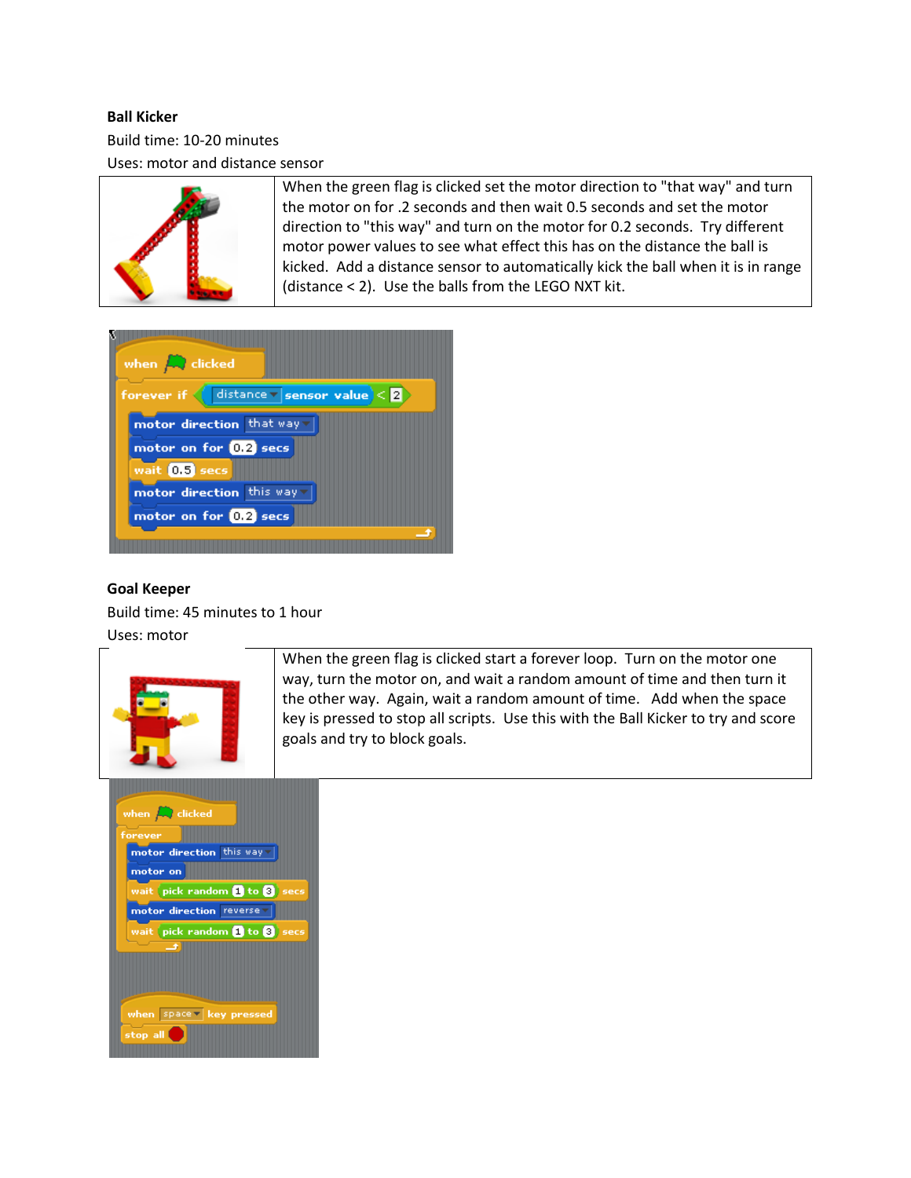### **Ball Kicker**

Build time: 10-20 minutes Uses: motor and distance sensor



When the green flag is clicked set the motor direction to "that way" and turn the motor on for .2 seconds and then wait 0.5 seconds and set the motor direction to "this way" and turn on the motor for 0.2 seconds. Try different motor power values to see what effect this has on the distance the ball is kicked. Add a distance sensor to automatically kick the ball when it is in range (distance < 2). Use the balls from the LEGO NXT kit.



### **Goal Keeper**

Build time: 45 minutes to 1 hour

Uses: motor



When the green flag is clicked start a forever loop. Turn on the motor one way, turn the motor on, and wait a random amount of time and then turn it the other way. Again, wait a random amount of time. Add when the space key is pressed to stop all scripts. Use this with the Ball Kicker to try and score goals and try to block goals.

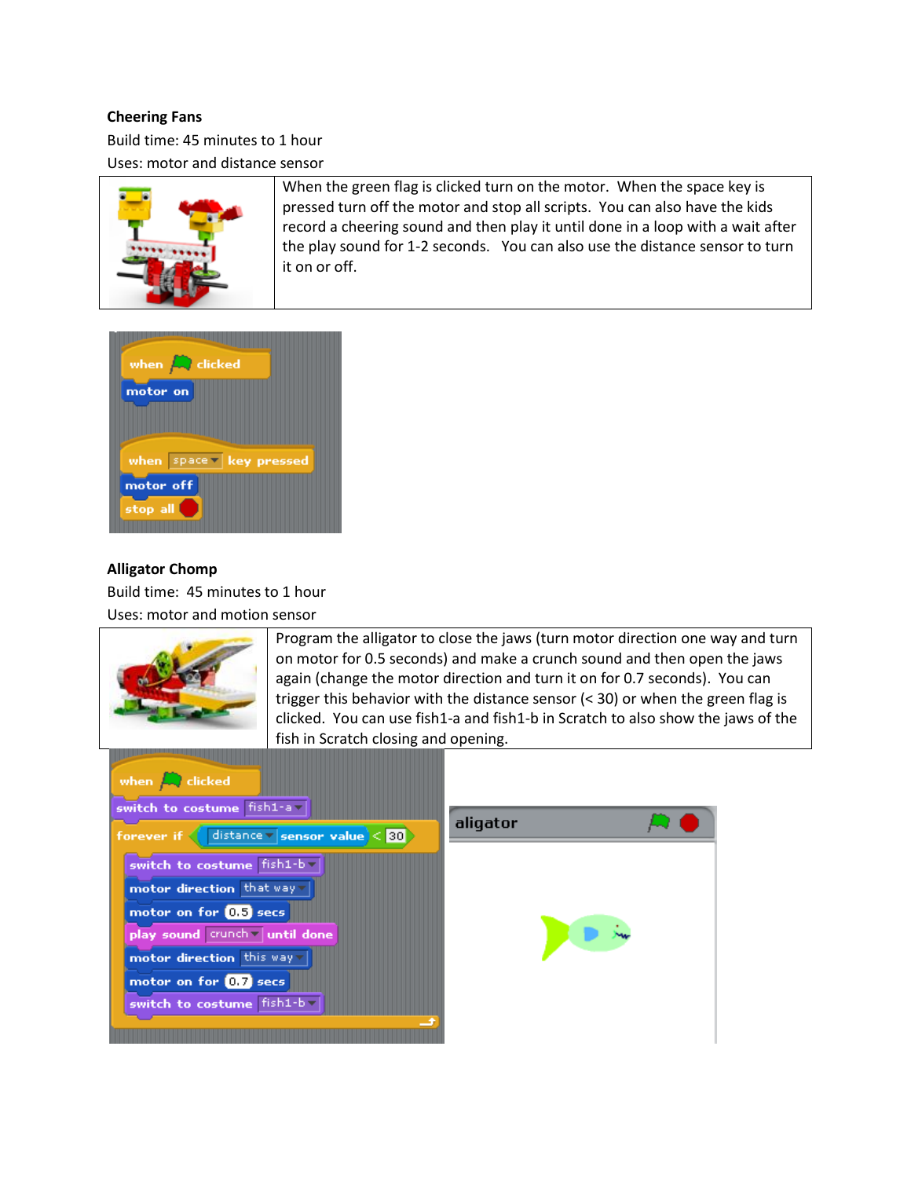## **Cheering Fans**

Build time: 45 minutes to 1 hour

Uses: motor and distance sensor



When the green flag is clicked turn on the motor. When the space key is pressed turn off the motor and stop all scripts. You can also have the kids record a cheering sound and then play it until done in a loop with a wait after the play sound for 1-2 seconds. You can also use the distance sensor to turn it on or off.



### **Alligator Chomp**

Build time: 45 minutes to 1 hour

Uses: motor and motion sensor

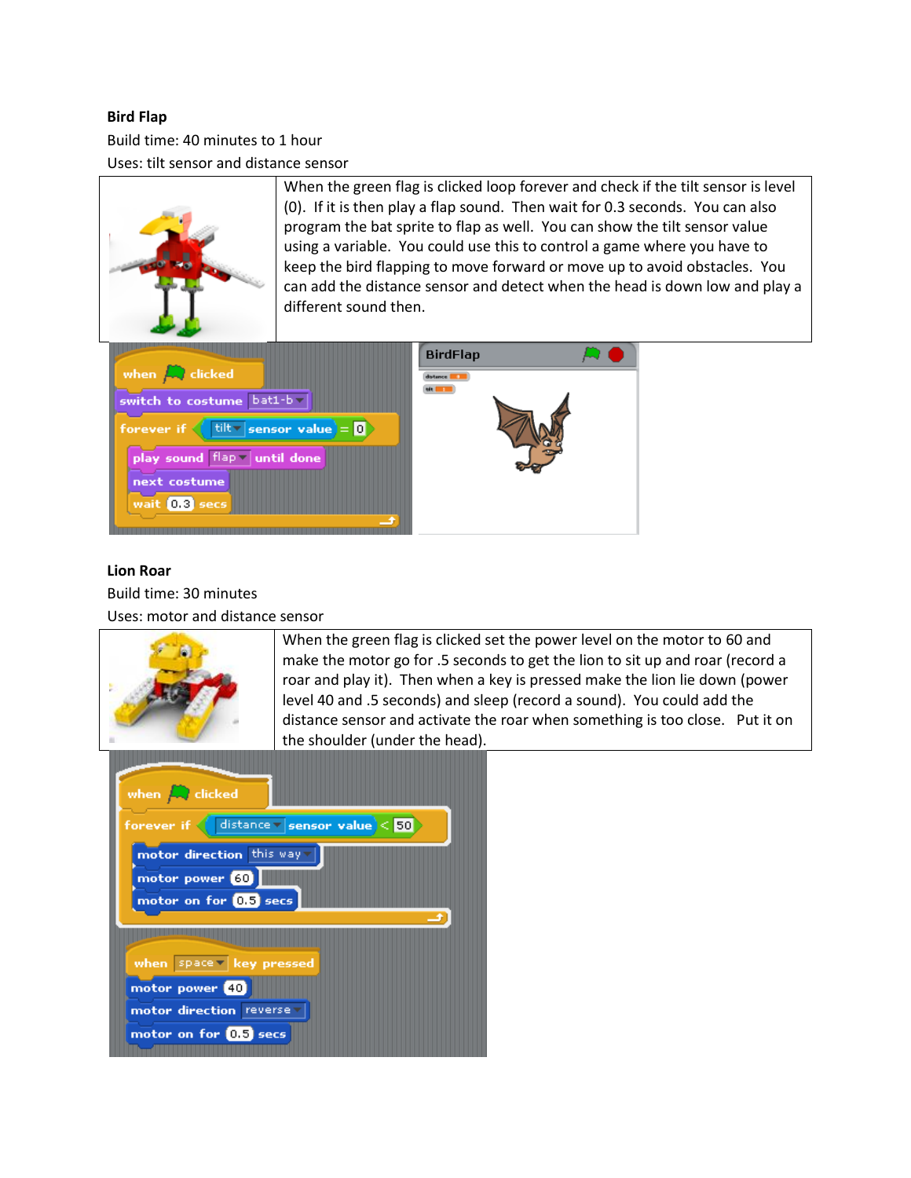### **Bird Flap**

Build time: 40 minutes to 1 hour

Uses: tilt sensor and distance sensor



When the green flag is clicked loop forever and check if the tilt sensor is level (0). If it is then play a flap sound. Then wait for 0.3 seconds. You can also program the bat sprite to flap as well. You can show the tilt sensor value using a variable. You could use this to control a game where you have to keep the bird flapping to move forward or move up to avoid obstacles. You can add the distance sensor and detect when the head is down low and play a different sound then.



### **Lion Roar**

Build time: 30 minutes

Uses: motor and distance sensor



When the green flag is clicked set the power level on the motor to 60 and make the motor go for .5 seconds to get the lion to sit up and roar (record a roar and play it). Then when a key is pressed make the lion lie down (power level 40 and .5 seconds) and sleep (record a sound). You could add the distance sensor and activate the roar when something is too close. Put it on the shoulder (under the head).